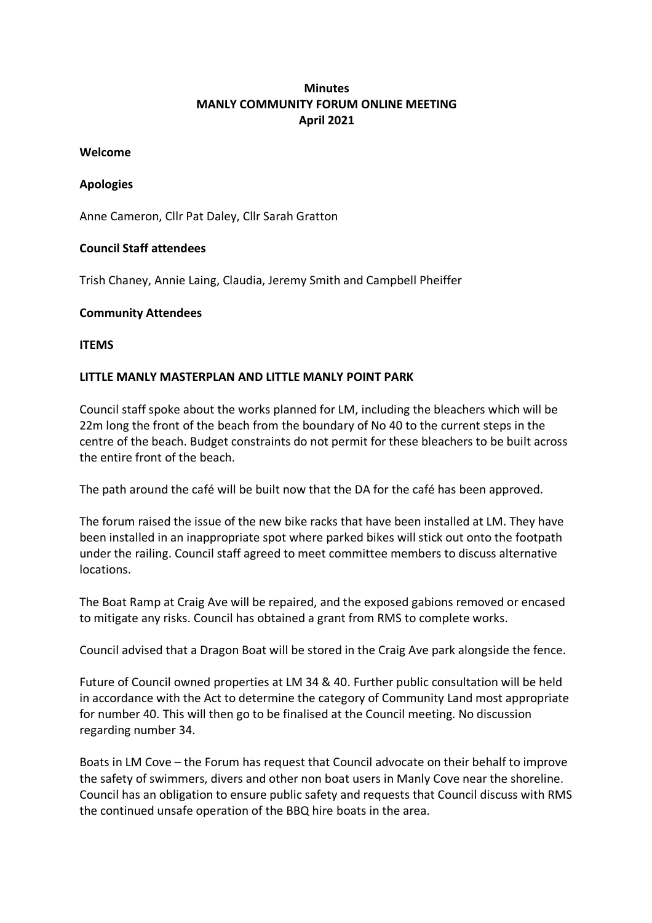# **Minutes MANLY COMMUNITY FORUM ONLINE MEETING April 2021**

#### **Welcome**

#### **Apologies**

Anne Cameron, Cllr Pat Daley, Cllr Sarah Gratton

### **Council Staff attendees**

Trish Chaney, Annie Laing, Claudia, Jeremy Smith and Campbell Pheiffer

### **Community Attendees**

**ITEMS**

### **LITTLE MANLY MASTERPLAN AND LITTLE MANLY POINT PARK**

Council staff spoke about the works planned for LM, including the bleachers which will be 22m long the front of the beach from the boundary of No 40 to the current steps in the centre of the beach. Budget constraints do not permit for these bleachers to be built across the entire front of the beach.

The path around the café will be built now that the DA for the café has been approved.

The forum raised the issue of the new bike racks that have been installed at LM. They have been installed in an inappropriate spot where parked bikes will stick out onto the footpath under the railing. Council staff agreed to meet committee members to discuss alternative locations.

The Boat Ramp at Craig Ave will be repaired, and the exposed gabions removed or encased to mitigate any risks. Council has obtained a grant from RMS to complete works.

Council advised that a Dragon Boat will be stored in the Craig Ave park alongside the fence.

Future of Council owned properties at LM 34 & 40. Further public consultation will be held in accordance with the Act to determine the category of Community Land most appropriate for number 40. This will then go to be finalised at the Council meeting. No discussion regarding number 34.

Boats in LM Cove – the Forum has request that Council advocate on their behalf to improve the safety of swimmers, divers and other non boat users in Manly Cove near the shoreline. Council has an obligation to ensure public safety and requests that Council discuss with RMS the continued unsafe operation of the BBQ hire boats in the area.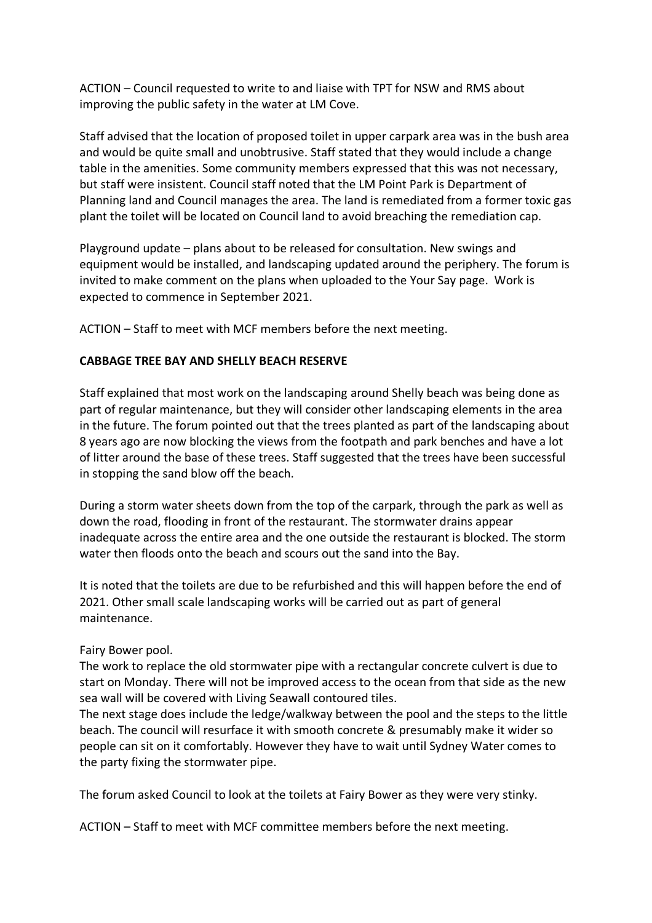ACTION – Council requested to write to and liaise with TPT for NSW and RMS about improving the public safety in the water at LM Cove.

Staff advised that the location of proposed toilet in upper carpark area was in the bush area and would be quite small and unobtrusive. Staff stated that they would include a change table in the amenities. Some community members expressed that this was not necessary, but staff were insistent. Council staff noted that the LM Point Park is Department of Planning land and Council manages the area. The land is remediated from a former toxic gas plant the toilet will be located on Council land to avoid breaching the remediation cap.

Playground update – plans about to be released for consultation. New swings and equipment would be installed, and landscaping updated around the periphery. The forum is invited to make comment on the plans when uploaded to the Your Say page. Work is expected to commence in September 2021.

ACTION – Staff to meet with MCF members before the next meeting.

### **CABBAGE TREE BAY AND SHELLY BEACH RESERVE**

Staff explained that most work on the landscaping around Shelly beach was being done as part of regular maintenance, but they will consider other landscaping elements in the area in the future. The forum pointed out that the trees planted as part of the landscaping about 8 years ago are now blocking the views from the footpath and park benches and have a lot of litter around the base of these trees. Staff suggested that the trees have been successful in stopping the sand blow off the beach.

During a storm water sheets down from the top of the carpark, through the park as well as down the road, flooding in front of the restaurant. The stormwater drains appear inadequate across the entire area and the one outside the restaurant is blocked. The storm water then floods onto the beach and scours out the sand into the Bay.

It is noted that the toilets are due to be refurbished and this will happen before the end of 2021. Other small scale landscaping works will be carried out as part of general maintenance.

#### Fairy Bower pool.

The work to replace the old stormwater pipe with a rectangular concrete culvert is due to start on Monday. There will not be improved access to the ocean from that side as the new sea wall will be covered with Living Seawall contoured tiles.

The next stage does include the ledge/walkway between the pool and the steps to the little beach. The council will resurface it with smooth concrete & presumably make it wider so people can sit on it comfortably. However they have to wait until Sydney Water comes to the party fixing the stormwater pipe.

The forum asked Council to look at the toilets at Fairy Bower as they were very stinky.

ACTION – Staff to meet with MCF committee members before the next meeting.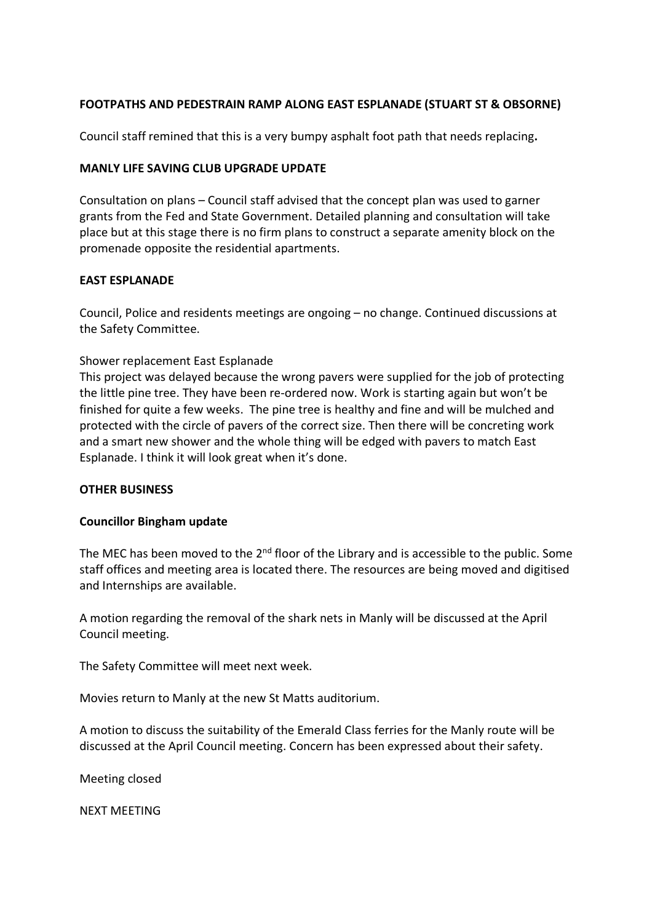## **FOOTPATHS AND PEDESTRAIN RAMP ALONG EAST ESPLANADE (STUART ST & OBSORNE)**

Council staff remined that this is a very bumpy asphalt foot path that needs replacing**.** 

#### **MANLY LIFE SAVING CLUB UPGRADE UPDATE**

Consultation on plans – Council staff advised that the concept plan was used to garner grants from the Fed and State Government. Detailed planning and consultation will take place but at this stage there is no firm plans to construct a separate amenity block on the promenade opposite the residential apartments.

### **EAST ESPLANADE**

Council, Police and residents meetings are ongoing – no change. Continued discussions at the Safety Committee.

### Shower replacement East Esplanade

This project was delayed because the wrong pavers were supplied for the job of protecting the little pine tree. They have been re-ordered now. Work is starting again but won't be finished for quite a few weeks. The pine tree is healthy and fine and will be mulched and protected with the circle of pavers of the correct size. Then there will be concreting work and a smart new shower and the whole thing will be edged with pavers to match East Esplanade. I think it will look great when it's done.

#### **OTHER BUSINESS**

#### **Councillor Bingham update**

The MEC has been moved to the 2<sup>nd</sup> floor of the Library and is accessible to the public. Some staff offices and meeting area is located there. The resources are being moved and digitised and Internships are available.

A motion regarding the removal of the shark nets in Manly will be discussed at the April Council meeting.

The Safety Committee will meet next week.

Movies return to Manly at the new St Matts auditorium.

A motion to discuss the suitability of the Emerald Class ferries for the Manly route will be discussed at the April Council meeting. Concern has been expressed about their safety.

Meeting closed

NEXT MEETING